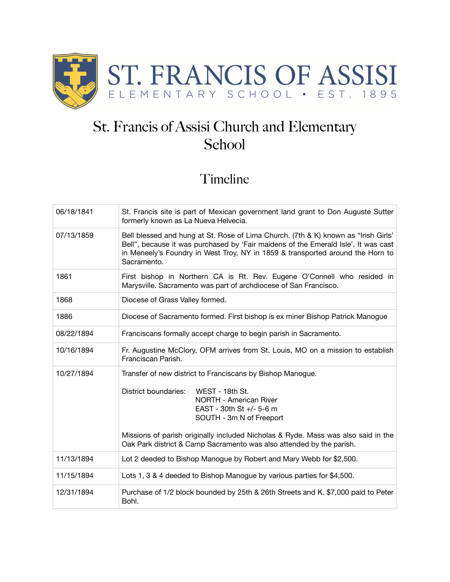

## St. Francis of Assisi Church and Elementary School

## Timeline

| 06/18/1841 | St. Francis site is part of Mexican government land grant to Don Auguste Sutter<br>formerly known as La Nueva Helvecia.                                                                                                                                                                                                                                     |
|------------|-------------------------------------------------------------------------------------------------------------------------------------------------------------------------------------------------------------------------------------------------------------------------------------------------------------------------------------------------------------|
| 07/13/1859 | Bell blessed and hung at St. Rose of Lima Church. (7th & K) known as "Irish Girls"<br>Bell", because it was purchased by 'Fair maidens of the Emerald Isle'. It was cast<br>in Meneely's Foundry in West Troy, NY in 1859 & transported around the Horn to<br>Sacramento.                                                                                   |
| 1861       | First bishop in Northern CA is Rt. Rev. Eugene O'Connell who resided in<br>Marysville. Sacramento was part of archdiocese of San Francisco.                                                                                                                                                                                                                 |
| 1868       | Diocese of Grass Valley formed.                                                                                                                                                                                                                                                                                                                             |
| 1886       | Diocese of Sacramento formed. First bishop is ex miner Bishop Patrick Manogue                                                                                                                                                                                                                                                                               |
| 08/22/1894 | Franciscans formally accept charge to begin parish in Sacramento.                                                                                                                                                                                                                                                                                           |
| 10/16/1894 | Fr. Augustine McClory, OFM arrives from St. Louis, MO on a mission to establish<br>Franciscan Parish.                                                                                                                                                                                                                                                       |
| 10/27/1894 | Transfer of new district to Franciscans by Bishop Manogue.<br><b>District boundaries:</b><br>WEST - 18th St.<br>NORTH - American River<br>EAST - 30th St +/- 5-6 m<br>SOUTH - 3m N of Freeport<br>Missions of parish originally included Nicholas & Ryde. Mass was also said in the<br>Oak Park district & Camp Sacramento was also attended by the parish. |
| 11/13/1894 | Lot 2 deeded to Bishop Manogue by Robert and Mary Webb for \$2,500.                                                                                                                                                                                                                                                                                         |
| 11/15/1894 | Lots 1, 3 & 4 deeded to Bishop Manogue by various parties for \$4,500.                                                                                                                                                                                                                                                                                      |
| 12/31/1894 | Purchase of 1/2 block bounded by 25th & 26th Streets and K. \$7,000 paid to Peter<br>Bohl.                                                                                                                                                                                                                                                                  |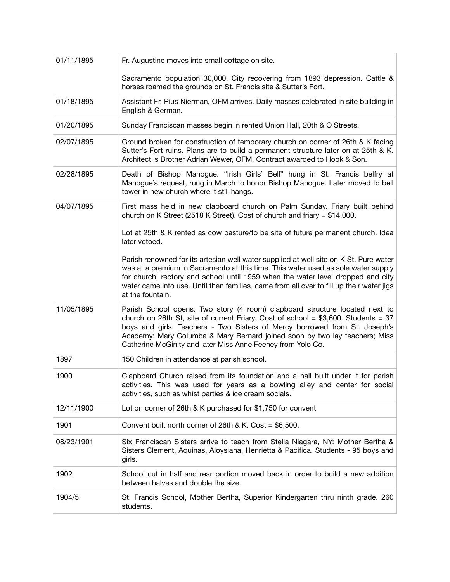| 01/11/1895 | Fr. Augustine moves into small cottage on site.                                                                                                                                                                                                                                                                                                                                                |
|------------|------------------------------------------------------------------------------------------------------------------------------------------------------------------------------------------------------------------------------------------------------------------------------------------------------------------------------------------------------------------------------------------------|
|            | Sacramento population 30,000. City recovering from 1893 depression. Cattle &<br>horses roamed the grounds on St. Francis site & Sutter's Fort.                                                                                                                                                                                                                                                 |
| 01/18/1895 | Assistant Fr. Pius Nierman, OFM arrives. Daily masses celebrated in site building in<br>English & German.                                                                                                                                                                                                                                                                                      |
| 01/20/1895 | Sunday Franciscan masses begin in rented Union Hall, 20th & O Streets.                                                                                                                                                                                                                                                                                                                         |
| 02/07/1895 | Ground broken for construction of temporary church on corner of 26th & K facing<br>Sutter's Fort ruins. Plans are to build a permanent structure later on at 25th & K.<br>Architect is Brother Adrian Wewer, OFM. Contract awarded to Hook & Son.                                                                                                                                              |
| 02/28/1895 | Death of Bishop Manogue. "Irish Girls' Bell" hung in St. Francis belfry at<br>Manogue's request, rung in March to honor Bishop Manogue. Later moved to bell<br>tower in new church where it still hangs.                                                                                                                                                                                       |
| 04/07/1895 | First mass held in new clapboard church on Palm Sunday. Friary built behind<br>church on K Street (2518 K Street). Cost of church and friary = $$14,000$ .                                                                                                                                                                                                                                     |
|            | Lot at 25th & K rented as cow pasture/to be site of future permanent church. Idea<br>later vetoed.                                                                                                                                                                                                                                                                                             |
|            | Parish renowned for its artesian well water supplied at well site on K St. Pure water<br>was at a premium in Sacramento at this time. This water used as sole water supply<br>for church, rectory and school until 1959 when the water level dropped and city<br>water came into use. Until then families, came from all over to fill up their water jigs<br>at the fountain.                  |
| 11/05/1895 | Parish School opens. Two story (4 room) clapboard structure located next to<br>church on 26th St, site of current Friary. Cost of school = $$3,600$ . Students = 37<br>boys and girls. Teachers - Two Sisters of Mercy borrowed from St. Joseph's<br>Academy: Mary Columba & Mary Bernard joined soon by two lay teachers; Miss<br>Catherine McGinity and later Miss Anne Feeney from Yolo Co. |
| 1897       | 150 Children in attendance at parish school.                                                                                                                                                                                                                                                                                                                                                   |
| 1900       | Clapboard Church raised from its foundation and a hall built under it for parish<br>activities. This was used for years as a bowling alley and center for social<br>activities, such as whist parties & ice cream socials.                                                                                                                                                                     |
| 12/11/1900 | Lot on corner of 26th & K purchased for \$1,750 for convent                                                                                                                                                                                                                                                                                                                                    |
| 1901       | Convent built north corner of 26th & K. Cost = $$6,500$ .                                                                                                                                                                                                                                                                                                                                      |
| 08/23/1901 | Six Franciscan Sisters arrive to teach from Stella Niagara, NY: Mother Bertha &<br>Sisters Clement, Aquinas, Aloysiana, Henrietta & Pacifica. Students - 95 boys and<br>girls.                                                                                                                                                                                                                 |
| 1902       | School cut in half and rear portion moved back in order to build a new addition<br>between halves and double the size.                                                                                                                                                                                                                                                                         |
| 1904/5     | St. Francis School, Mother Bertha, Superior Kindergarten thru ninth grade. 260<br>students.                                                                                                                                                                                                                                                                                                    |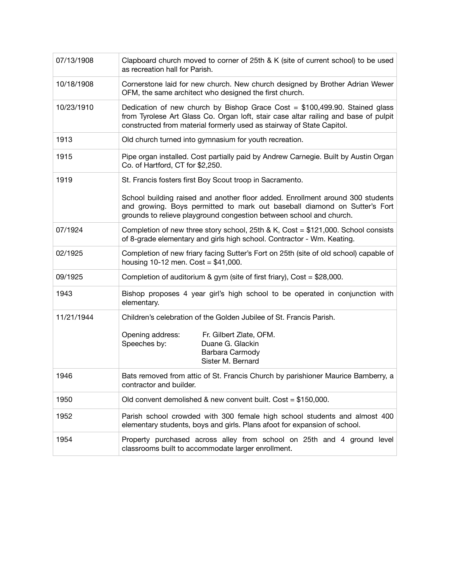| 07/13/1908 | Clapboard church moved to corner of 25th & K (site of current school) to be used<br>as recreation hall for Parish.                                                                                                                            |
|------------|-----------------------------------------------------------------------------------------------------------------------------------------------------------------------------------------------------------------------------------------------|
| 10/18/1908 | Cornerstone laid for new church. New church designed by Brother Adrian Wewer<br>OFM, the same architect who designed the first church.                                                                                                        |
| 10/23/1910 | Dedication of new church by Bishop Grace Cost = $$100,499.90$ . Stained glass<br>from Tyrolese Art Glass Co. Organ loft, stair case altar railing and base of pulpit<br>constructed from material formerly used as stairway of State Capitol. |
| 1913       | Old church turned into gymnasium for youth recreation.                                                                                                                                                                                        |
| 1915       | Pipe organ installed. Cost partially paid by Andrew Carnegie. Built by Austin Organ<br>Co. of Hartford, CT for \$2,250.                                                                                                                       |
| 1919       | St. Francis fosters first Boy Scout troop in Sacramento.                                                                                                                                                                                      |
|            | School building raised and another floor added. Enrollment around 300 students<br>and growing. Boys permitted to mark out baseball diamond on Sutter's Fort<br>grounds to relieve playground congestion between school and church.            |
| 07/1924    | Completion of new three story school, 25th & K, Cost = $$121,000$ . School consists<br>of 8-grade elementary and girls high school. Contractor - Wm. Keating.                                                                                 |
| 02/1925    | Completion of new friary facing Sutter's Fort on 25th (site of old school) capable of<br>housing 10-12 men. Cost = $$41,000$ .                                                                                                                |
| 09/1925    | Completion of auditorium & gym (site of first friary), Cost = $$28,000$ .                                                                                                                                                                     |
| 1943       | Bishop proposes 4 year girl's high school to be operated in conjunction with<br>elementary.                                                                                                                                                   |
| 11/21/1944 | Children's celebration of the Golden Jubilee of St. Francis Parish.                                                                                                                                                                           |
|            | Opening address:<br>Fr. Gilbert Zlate, OFM.<br>Speeches by:<br>Duane G. Glackin<br>Barbara Carmody<br>Sister M. Bernard                                                                                                                       |
| 1946       | Bats removed from attic of St. Francis Church by parishioner Maurice Bamberry, a<br>contractor and builder.                                                                                                                                   |
| 1950       | Old convent demolished & new convent built. Cost = \$150,000.                                                                                                                                                                                 |
| 1952       | Parish school crowded with 300 female high school students and almost 400<br>elementary students, boys and girls. Plans afoot for expansion of school.                                                                                        |
| 1954       | Property purchased across alley from school on 25th and 4 ground level<br>classrooms built to accommodate larger enrollment.                                                                                                                  |